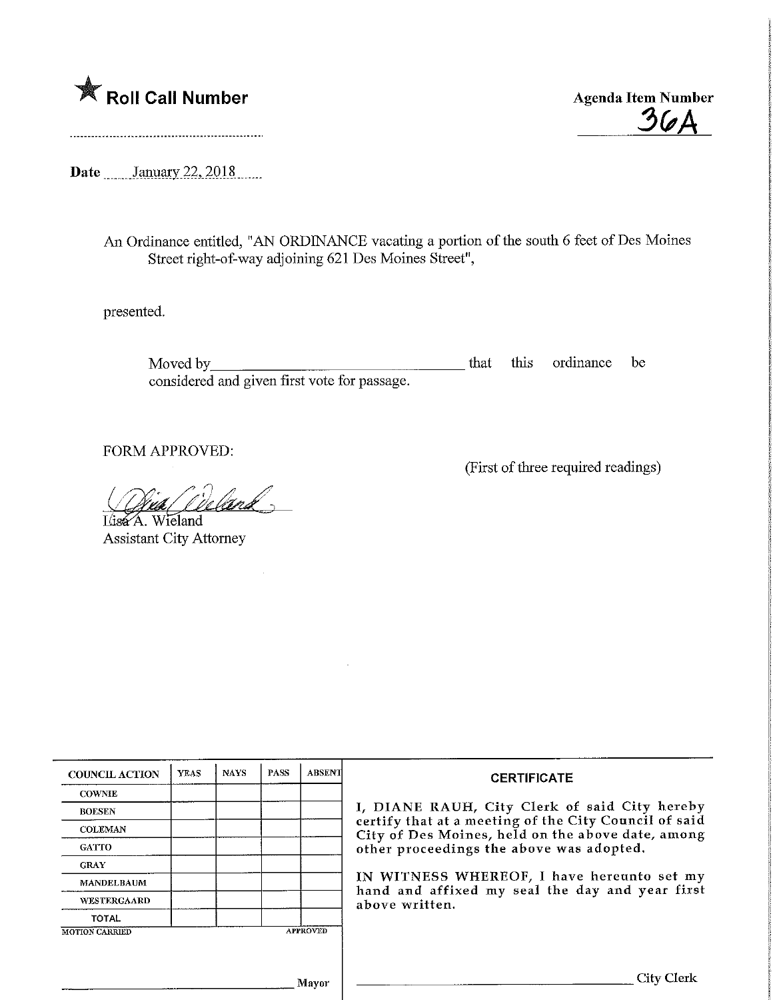

 $36A$ 

(First of three required readings)

Date January 22, 2018

An Ordinance entitled, "AN ORDINANCE vacating a portion of the south 6 feet of Des Moines Street right-of-way adjoining 621 Des Moines Street",

presented.

Moved by **that** this ordinance be considered and given first vote for passage.

FORM APPROVED:

Weland Lisa A. Wieland

Assistant City Attorney

| <b>COUNCIL ACTION</b> | <b>YEAS</b> | <b>NAYS</b> | <b>PASS</b>                                                                                   | <b>ABSENT</b>   | <b>CERTIFICATE</b>                                                                                         |  |  |
|-----------------------|-------------|-------------|-----------------------------------------------------------------------------------------------|-----------------|------------------------------------------------------------------------------------------------------------|--|--|
| <b>COWNIE</b>         |             |             |                                                                                               |                 |                                                                                                            |  |  |
| <b>BOESEN</b>         |             |             |                                                                                               |                 | I, DIANE RAUH, City Clerk of said City hereby                                                              |  |  |
| <b>COLEMAN</b>        |             |             |                                                                                               |                 | certify that at a meeting of the City Council of said<br>City of Des Moines, held on the above date, among |  |  |
| <b>GATTO</b>          |             |             |                                                                                               |                 | other proceedings the above was adopted.                                                                   |  |  |
| <b>GRAY</b>           |             |             | IN WITNESS WHEREOF, I have hereunto set my<br>hand and affixed my seal the day and year first |                 |                                                                                                            |  |  |
| <b>MANDELBAUM</b>     |             |             |                                                                                               |                 |                                                                                                            |  |  |
| WESTERGAARD           |             |             |                                                                                               |                 | above written.                                                                                             |  |  |
| <b>TOTAL</b>          |             |             |                                                                                               |                 |                                                                                                            |  |  |
| <b>MOTION CARRIED</b> |             |             |                                                                                               | <b>APPROVED</b> |                                                                                                            |  |  |
|                       |             |             |                                                                                               |                 |                                                                                                            |  |  |
|                       |             |             |                                                                                               |                 | <b>City Clerk</b>                                                                                          |  |  |
| Mayor                 |             |             |                                                                                               |                 |                                                                                                            |  |  |